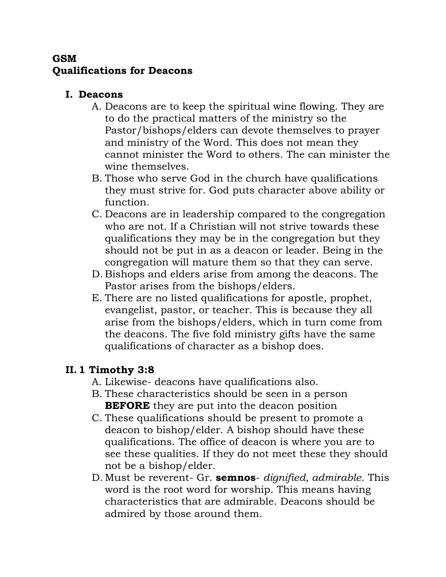### **GSM Qualifications for Deacons**

#### **I. Deacons**

- A. Deacons are to keep the spiritual wine flowing. They are to do the practical matters of the ministry so the Pastor/bishops/elders can devote themselves to prayer and ministry of the Word. This does not mean they cannot minister the Word to others. The can minister the wine themselves.
- B. Those who serve God in the church have qualifications they must strive for. God puts character above ability or function.
- C. Deacons are in leadership compared to the congregation who are not. If a Christian will not strive towards these qualifications they may be in the congregation but they should not be put in as a deacon or leader. Being in the congregation will mature them so that they can serve.
- D. Bishops and elders arise from among the deacons. The Pastor arises from the bishops/elders.
- E. There are no listed qualifications for apostle, prophet, evangelist, pastor, or teacher. This is because they all arise from the bishops/elders, which in turn come from the deacons. The five fold ministry gifts have the same qualifications of character as a bishop does.

# **II.1 Timothy 3:8**

- A. Likewise- deacons have qualifications also.
- B. These characteristics should be seen in a person **BEFORE** they are put into the deacon position
- C. These qualifications should be present to promote a deacon to bishop/elder. A bishop should have these qualifications. The office of deacon is where you are to see these qualities. If they do not meet these they should not be a bishop/elder.
- D. Must be reverent- Gr. **semnos** *dignified, admirable*. This word is the root word for worship. This means having characteristics that are admirable. Deacons should be admired by those around them.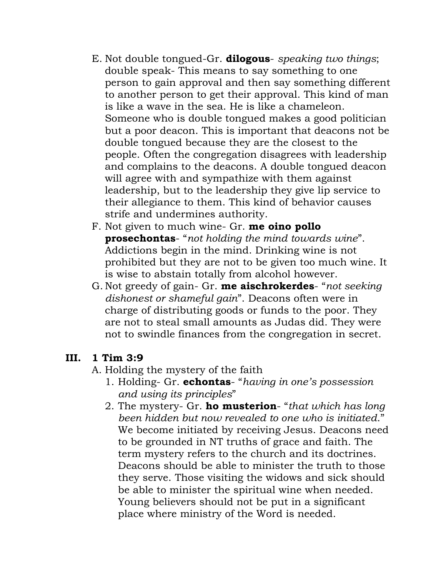- E. Not double tongued-Gr. **dilogous** *speaking two things*; double speak- This means to say something to one person to gain approval and then say something different to another person to get their approval. This kind of man is like a wave in the sea. He is like a chameleon. Someone who is double tongued makes a good politician but a poor deacon. This is important that deacons not be double tongued because they are the closest to the people. Often the congregation disagrees with leadership and complains to the deacons. A double tongued deacon will agree with and sympathize with them against leadership, but to the leadership they give lip service to their allegiance to them. This kind of behavior causes strife and undermines authority.
- F. Not given to much wine- Gr. **me oino pollo prosechontas**- "*not holding the mind towards wine*". Addictions begin in the mind. Drinking wine is not prohibited but they are not to be given too much wine. It is wise to abstain totally from alcohol however.
- G. Not greedy of gain- Gr. **me aischrokerdes** "*not seeking dishonest or shameful gain*". Deacons often were in charge of distributing goods or funds to the poor. They are not to steal small amounts as Judas did. They were not to swindle finances from the congregation in secret.

### **III. 1 Tim 3:9**

- A. Holding the mystery of the faith
	- 1. Holding- Gr. **echontas** "*having in one's possession and using its principles*"
	- 2. The mystery- Gr. **ho musterion** "*that which has long been hidden but now revealed to one who is initiated*." We become initiated by receiving Jesus. Deacons need to be grounded in NT truths of grace and faith. The term mystery refers to the church and its doctrines. Deacons should be able to minister the truth to those they serve. Those visiting the widows and sick should be able to minister the spiritual wine when needed. Young believers should not be put in a significant place where ministry of the Word is needed.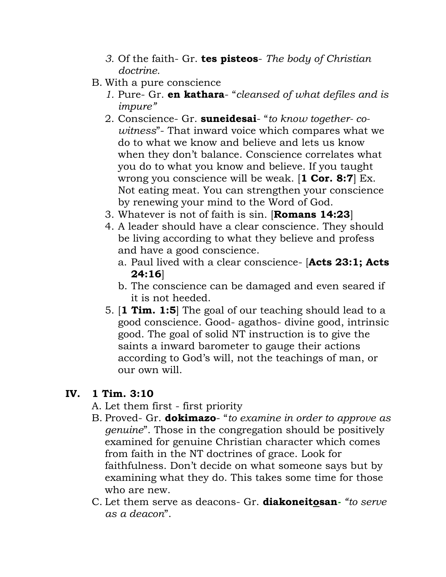- *3.* Of the faith- Gr. **tes pisteos** *The body of Christian doctrine.*
- B. With a pure conscience
	- *1.* Pure- Gr. **en kathara** "*cleansed of what defiles and is impure"*
	- 2. Conscience- Gr. **suneidesai** "*to know together- cowitness*"- That inward voice which compares what we do to what we know and believe and lets us know when they don't balance. Conscience correlates what you do to what you know and believe. If you taught wrong you conscience will be weak. [**1 Cor. 8:7**] Ex. Not eating meat. You can strengthen your conscience by renewing your mind to the Word of God.
	- 3. Whatever is not of faith is sin. [**Romans 14:23**]
	- 4. A leader should have a clear conscience. They should be living according to what they believe and profess and have a good conscience.
		- a. Paul lived with a clear conscience- [**Acts 23:1; Acts 24:16**]
		- b. The conscience can be damaged and even seared if it is not heeded.
	- 5. [**1 Tim. 1:5**] The goal of our teaching should lead to a good conscience. Good- agathos- divine good, intrinsic good. The goal of solid NT instruction is to give the saints a inward barometer to gauge their actions according to God's will, not the teachings of man, or our own will.

### **IV. 1 Tim. 3:10**

- A. Let them first first priority
- B. Proved- Gr. **dokimazo** "*to examine in order to approve as genuine*". Those in the congregation should be positively examined for genuine Christian character which comes from faith in the NT doctrines of grace. Look for faithfulness. Don't decide on what someone says but by examining what they do. This takes some time for those who are new.
- C. Let them serve as deacons- Gr. **diakoneitosan***- "to serve as a deacon*".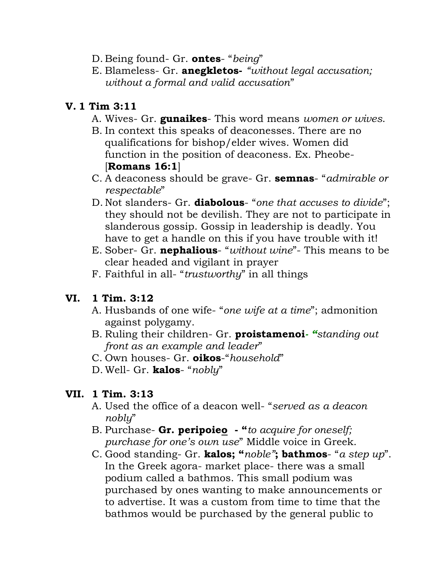- D. Being found- Gr. **ontes** "*being*"
- E. Blameless- Gr. **anegkletos-** *"without legal accusation; without a formal and valid accusation*"

## **V. 1 Tim 3:11**

- A. Wives- Gr. **gunaikes** This word means *women or wives*.
- B. In context this speaks of deaconesses. There are no qualifications for bishop/elder wives. Women did function in the position of deaconess. Ex. Pheobe- [**Romans 16:1**]
- C. A deaconess should be grave- Gr. **semnas** "*admirable or respectable*"
- D. Not slanders- Gr. **diabolous** "*one that accuses to divide*"; they should not be devilish. They are not to participate in slanderous gossip. Gossip in leadership is deadly. You have to get a handle on this if you have trouble with it!
- E. Sober- Gr. **nephalious** "*without wine*"- This means to be clear headed and vigilant in prayer
- F. Faithful in all- "*trustworthy*" in all things

### **VI. 1 Tim. 3:12**

- A. Husbands of one wife- "*one wife at a time*"; admonition against polygamy.
- B. Ruling their children- Gr. **proistamenoi***- "standing out front as an example and leader*"
- C. Own houses- Gr. **oikos**-"*household*"
- D. Well- Gr. **kalos** "*nobly*"

### **VII. 1 Tim. 3:13**

- A. Used the office of a deacon well- "*served as a deacon nobly*"
- B. Purchase- **Gr. peripoieo - "***to acquire for oneself; purchase for one's own use*" Middle voice in Greek.
- C. Good standing- Gr. **kalos; "***noble"***; bathmos** "*a step up*". In the Greek agora- market place- there was a small podium called a bathmos. This small podium was purchased by ones wanting to make announcements or to advertise. It was a custom from time to time that the bathmos would be purchased by the general public to